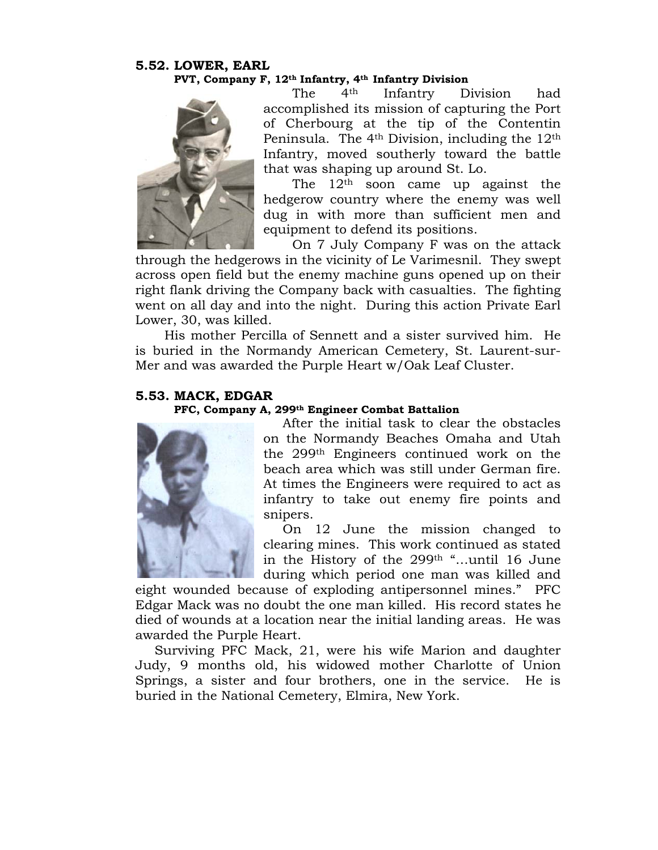## **5.52. LOWER, EARL PVT, Company F, 12th Infantry, 4th Infantry Division**



The 4th Infantry Division had accomplished its mission of capturing the Port of Cherbourg at the tip of the Contentin Peninsula. The  $4<sup>th</sup>$  Division, including the  $12<sup>th</sup>$ Infantry, moved southerly toward the battle that was shaping up around St. Lo.

The  $12<sup>th</sup>$  soon came up against the hedgerow country where the enemy was well dug in with more than sufficient men and equipment to defend its positions.

On 7 July Company F was on the attack through the hedgerows in the vicinity of Le Varimesnil. They swept across open field but the enemy machine guns opened up on their right flank driving the Company back with casualties. The fighting went on all day and into the night. During this action Private Earl Lower, 30, was killed.

His mother Percilla of Sennett and a sister survived him. He is buried in the Normandy American Cemetery, St. Laurent-sur-Mer and was awarded the Purple Heart w/Oak Leaf Cluster.

## **5.53. MACK, EDGAR**

## **PFC, Company A, 299th Engineer Combat Battalion**



After the initial task to clear the obstacles on the Normandy Beaches Omaha and Utah the 299th Engineers continued work on the beach area which was still under German fire. At times the Engineers were required to act as infantry to take out enemy fire points and snipers.

On 12 June the mission changed to clearing mines. This work continued as stated in the History of the 299th "…until 16 June during which period one man was killed and

eight wounded because of exploding antipersonnel mines." PFC Edgar Mack was no doubt the one man killed. His record states he died of wounds at a location near the initial landing areas. He was awarded the Purple Heart.

Surviving PFC Mack, 21, were his wife Marion and daughter Judy, 9 months old, his widowed mother Charlotte of Union Springs, a sister and four brothers, one in the service. He is buried in the National Cemetery, Elmira, New York.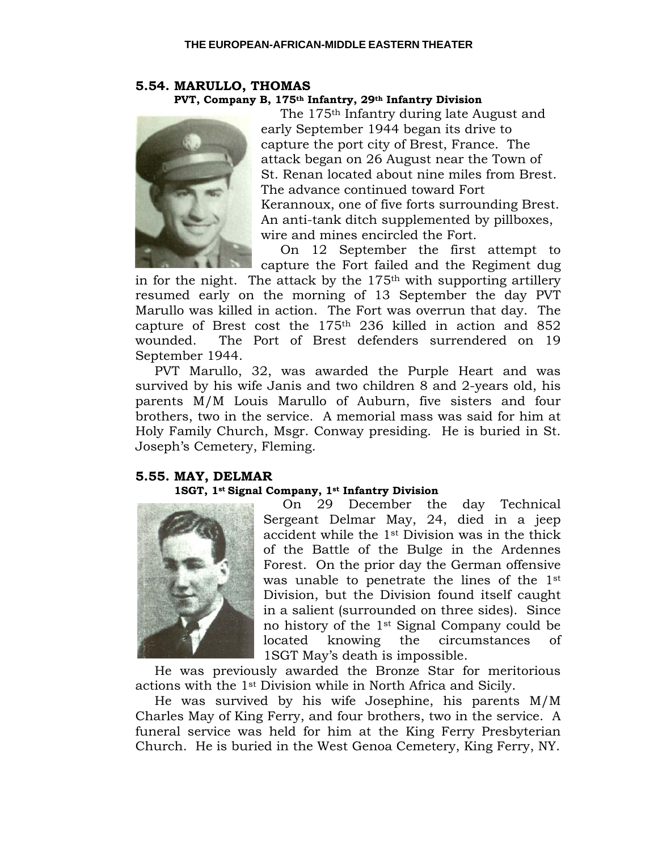## **5.54. MARULLO, THOMAS PVT, Company B, 175th Infantry, 29th Infantry Division**



The 175th Infantry during late August and early September 1944 began its drive to capture the port city of Brest, France. The attack began on 26 August near the Town of St. Renan located about nine miles from Brest. The advance continued toward Fort Kerannoux, one of five forts surrounding Brest. An anti-tank ditch supplemented by pillboxes, wire and mines encircled the Fort.

On 12 September the first attempt to capture the Fort failed and the Regiment dug

in for the night. The attack by the  $175<sup>th</sup>$  with supporting artillery resumed early on the morning of 13 September the day PVT Marullo was killed in action. The Fort was overrun that day. The capture of Brest cost the 175th 236 killed in action and 852 wounded. The Port of Brest defenders surrendered on 19 September 1944.

PVT Marullo, 32, was awarded the Purple Heart and was survived by his wife Janis and two children 8 and 2-years old, his parents M/M Louis Marullo of Auburn, five sisters and four brothers, two in the service. A memorial mass was said for him at Holy Family Church, Msgr. Conway presiding. He is buried in St. Joseph's Cemetery, Fleming.

## **5.55. MAY, DELMAR**

## **1SGT, 1st Signal Company, 1st Infantry Division**



On 29 December the day Technical Sergeant Delmar May, 24, died in a jeep accident while the 1st Division was in the thick of the Battle of the Bulge in the Ardennes Forest. On the prior day the German offensive was unable to penetrate the lines of the 1st Division, but the Division found itself caught in a salient (surrounded on three sides). Since no history of the 1st Signal Company could be located knowing the circumstances of 1SGT May's death is impossible.

He was previously awarded the Bronze Star for meritorious actions with the 1st Division while in North Africa and Sicily.

He was survived by his wife Josephine, his parents M/M Charles May of King Ferry, and four brothers, two in the service. A funeral service was held for him at the King Ferry Presbyterian Church. He is buried in the West Genoa Cemetery, King Ferry, NY.